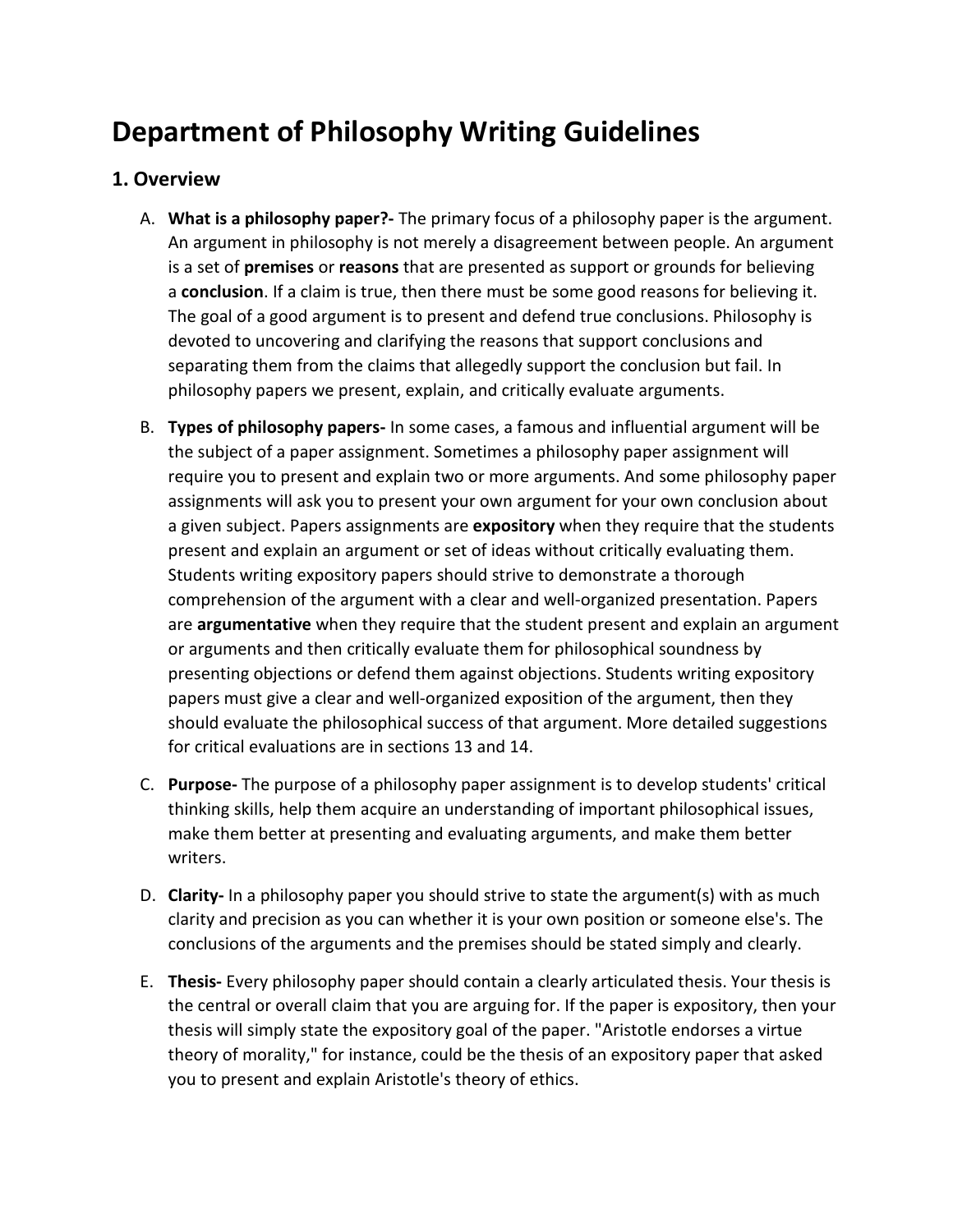# **Department of Philosophy Writing Guidelines**

# **1. Overview**

- A. **What is a philosophy paper?-** The primary focus of a philosophy paper is the argument. An argument in philosophy is not merely a disagreement between people. An argument is a set of **premises** or **reasons** that are presented as support or grounds for believing a **conclusion**. If a claim is true, then there must be some good reasons for believing it. The goal of a good argument is to present and defend true conclusions. Philosophy is devoted to uncovering and clarifying the reasons that support conclusions and separating them from the claims that allegedly support the conclusion but fail. In philosophy papers we present, explain, and critically evaluate arguments.
- B. **Types of philosophy papers-** In some cases, a famous and influential argument will be the subject of a paper assignment. Sometimes a philosophy paper assignment will require you to present and explain two or more arguments. And some philosophy paper assignments will ask you to present your own argument for your own conclusion about a given subject. Papers assignments are **expository** when they require that the students present and explain an argument or set of ideas without critically evaluating them. Students writing expository papers should strive to demonstrate a thorough comprehension of the argument with a clear and well-organized presentation. Papers are **argumentative** when they require that the student present and explain an argument or arguments and then critically evaluate them for philosophical soundness by presenting objections or defend them against objections. Students writing expository papers must give a clear and well-organized exposition of the argument, then they should evaluate the philosophical success of that argument. More detailed suggestions for critical evaluations are in sections 13 and 14.
- C. **Purpose-** The purpose of a philosophy paper assignment is to develop students' critical thinking skills, help them acquire an understanding of important philosophical issues, make them better at presenting and evaluating arguments, and make them better writers.
- D. **Clarity-** In a philosophy paper you should strive to state the argument(s) with as much clarity and precision as you can whether it is your own position or someone else's. The conclusions of the arguments and the premises should be stated simply and clearly.
- E. **Thesis-** Every philosophy paper should contain a clearly articulated thesis. Your thesis is the central or overall claim that you are arguing for. If the paper is expository, then your thesis will simply state the expository goal of the paper. "Aristotle endorses a virtue theory of morality," for instance, could be the thesis of an expository paper that asked you to present and explain Aristotle's theory of ethics.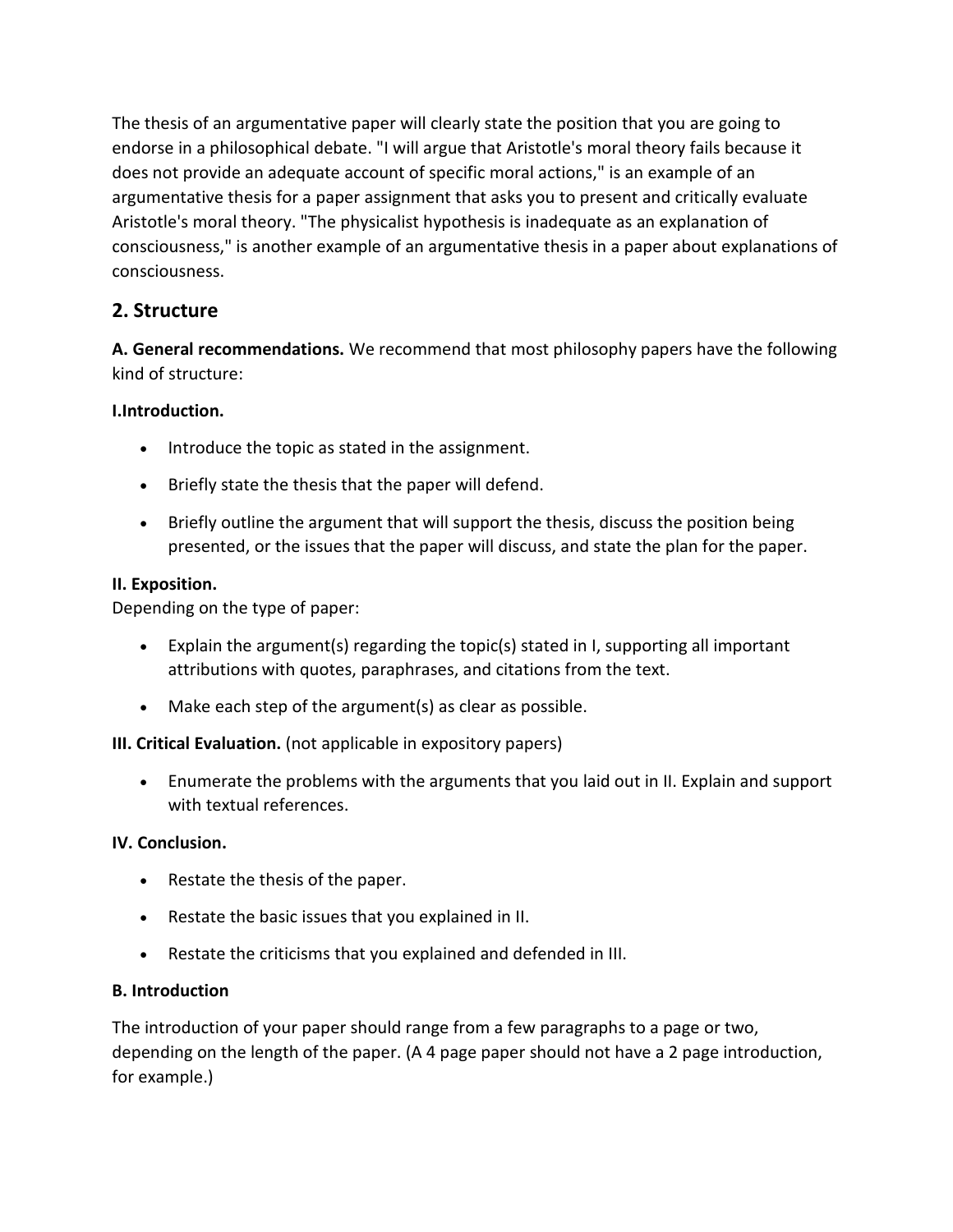The thesis of an argumentative paper will clearly state the position that you are going to endorse in a philosophical debate. "I will argue that Aristotle's moral theory fails because it does not provide an adequate account of specific moral actions," is an example of an argumentative thesis for a paper assignment that asks you to present and critically evaluate Aristotle's moral theory. "The physicalist hypothesis is inadequate as an explanation of consciousness," is another example of an argumentative thesis in a paper about explanations of consciousness.

# **2. Structure**

**A. General recommendations.** We recommend that most philosophy papers have the following kind of structure:

## **I.Introduction.**

- Introduce the topic as stated in the assignment.
- Briefly state the thesis that the paper will defend.
- Briefly outline the argument that will support the thesis, discuss the position being presented, or the issues that the paper will discuss, and state the plan for the paper.

#### **II. Exposition.**

Depending on the type of paper:

- Explain the argument(s) regarding the topic(s) stated in I, supporting all important attributions with quotes, paraphrases, and citations from the text.
- Make each step of the argument(s) as clear as possible.

#### **III. Critical Evaluation.** (not applicable in expository papers)

• Enumerate the problems with the arguments that you laid out in II. Explain and support with textual references.

#### **IV. Conclusion.**

- Restate the thesis of the paper.
- Restate the basic issues that you explained in II.
- Restate the criticisms that you explained and defended in III.

#### **B. Introduction**

The introduction of your paper should range from a few paragraphs to a page or two, depending on the length of the paper. (A 4 page paper should not have a 2 page introduction, for example.)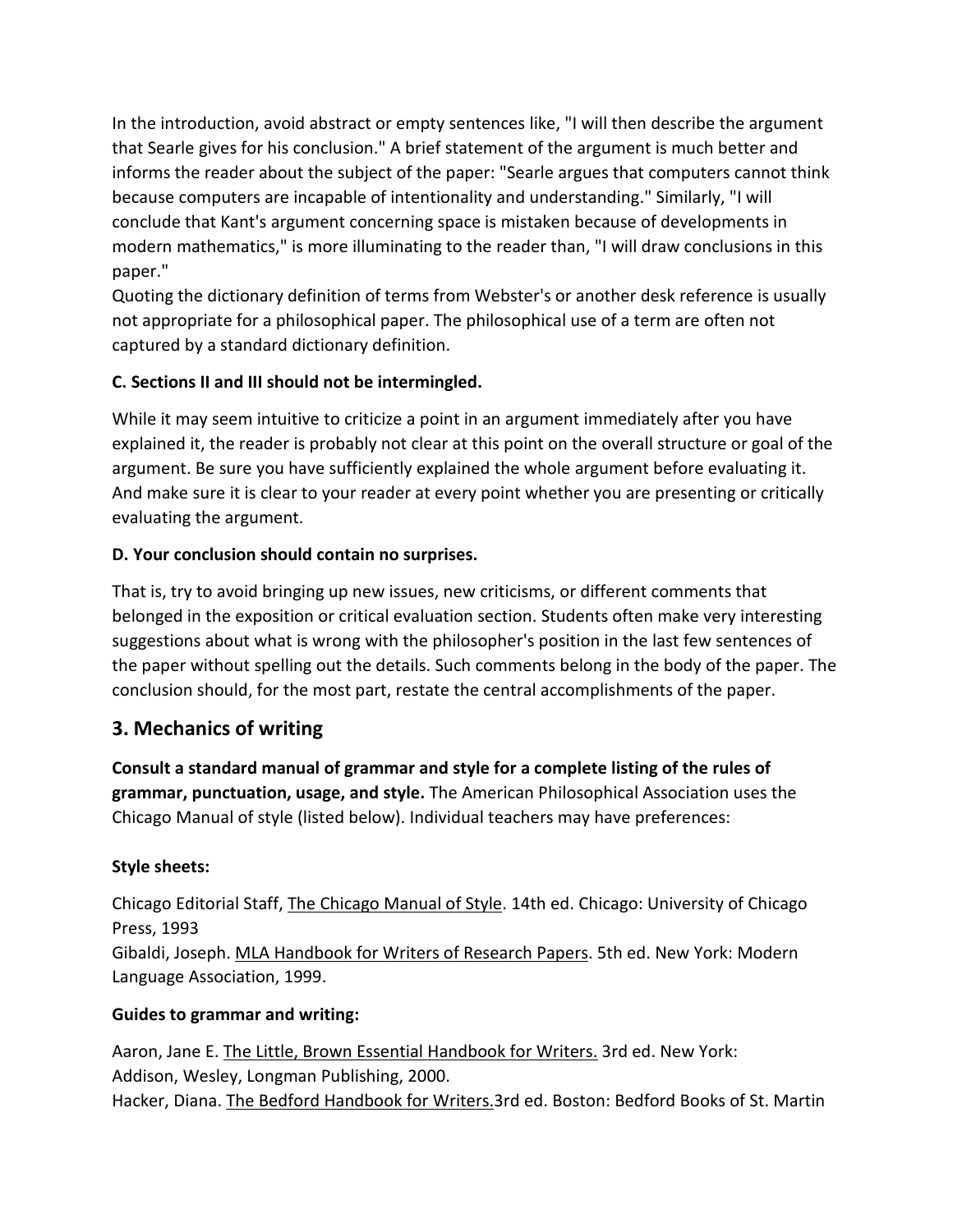In the introduction, avoid abstract or empty sentences like, "I will then describe the argument that Searle gives for his conclusion." A brief statement of the argument is much better and informs the reader about the subject of the paper: "Searle argues that computers cannot think because computers are incapable of intentionality and understanding." Similarly, "I will conclude that Kant's argument concerning space is mistaken because of developments in modern mathematics," is more illuminating to the reader than, "I will draw conclusions in this paper."

Quoting the dictionary definition of terms from Webster's or another desk reference is usually not appropriate for a philosophical paper. The philosophical use of a term are often not captured by a standard dictionary definition.

# **C. Sections II and III should not be intermingled.**

While it may seem intuitive to criticize a point in an argument immediately after you have explained it, the reader is probably not clear at this point on the overall structure or goal of the argument. Be sure you have sufficiently explained the whole argument before evaluating it. And make sure it is clear to your reader at every point whether you are presenting or critically evaluating the argument.

## **D. Your conclusion should contain no surprises.**

That is, try to avoid bringing up new issues, new criticisms, or different comments that belonged in the exposition or critical evaluation section. Students often make very interesting suggestions about what is wrong with the philosopher's position in the last few sentences of the paper without spelling out the details. Such comments belong in the body of the paper. The conclusion should, for the most part, restate the central accomplishments of the paper.

# **3. Mechanics of writing**

**Consult a standard manual of grammar and style for a complete listing of the rules of grammar, punctuation, usage, and style.** The American Philosophical Association uses the Chicago Manual of style (listed below). Individual teachers may have preferences:

#### **Style sheets:**

Chicago Editorial Staff, The Chicago Manual of Style. 14th ed. Chicago: University of Chicago Press, 1993 Gibaldi, Joseph. MLA Handbook for Writers of Research Papers. 5th ed. New York: Modern Language Association, 1999.

#### **Guides to grammar and writing:**

Aaron, Jane E. The Little, Brown Essential Handbook for Writers. 3rd ed. New York: Addison, Wesley, Longman Publishing, 2000. Hacker, Diana. The Bedford Handbook for Writers.3rd ed. Boston: Bedford Books of St. Martin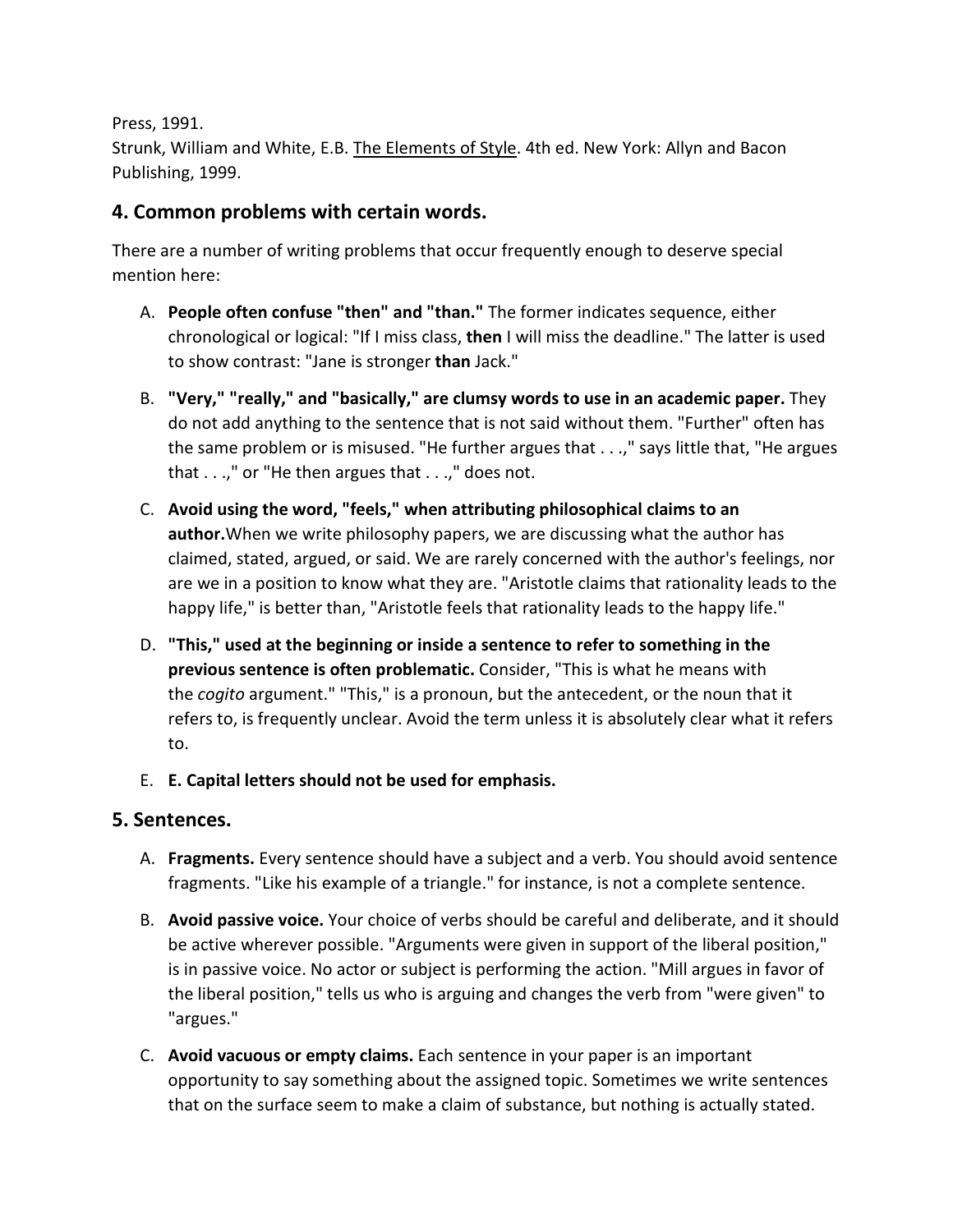Press, 1991.

Strunk, William and White, E.B. The Elements of Style. 4th ed. New York: Allyn and Bacon Publishing, 1999.

# **4. Common problems with certain words.**

There are a number of writing problems that occur frequently enough to deserve special mention here:

- A. **People often confuse "then" and "than."** The former indicates sequence, either chronological or logical: "If I miss class, **then** I will miss the deadline." The latter is used to show contrast: "Jane is stronger **than** Jack."
- B. **"Very," "really," and "basically," are clumsy words to use in an academic paper.** They do not add anything to the sentence that is not said without them. "Further" often has the same problem or is misused. "He further argues that . . .," says little that, "He argues that . . .," or "He then argues that . . .," does not.
- C. **Avoid using the word, "feels," when attributing philosophical claims to an author.**When we write philosophy papers, we are discussing what the author has claimed, stated, argued, or said. We are rarely concerned with the author's feelings, nor are we in a position to know what they are. "Aristotle claims that rationality leads to the happy life," is better than, "Aristotle feels that rationality leads to the happy life."
- D. **"This," used at the beginning or inside a sentence to refer to something in the previous sentence is often problematic.** Consider, "This is what he means with the *cogito* argument." "This," is a pronoun, but the antecedent, or the noun that it refers to, is frequently unclear. Avoid the term unless it is absolutely clear what it refers to.
- E. **E. Capital letters should not be used for emphasis.**

# **5. Sentences.**

- A. **Fragments.** Every sentence should have a subject and a verb. You should avoid sentence fragments. "Like his example of a triangle." for instance, is not a complete sentence.
- B. **Avoid passive voice.** Your choice of verbs should be careful and deliberate, and it should be active wherever possible. "Arguments were given in support of the liberal position," is in passive voice. No actor or subject is performing the action. "Mill argues in favor of the liberal position," tells us who is arguing and changes the verb from "were given" to "argues."
- C. **Avoid vacuous or empty claims.** Each sentence in your paper is an important opportunity to say something about the assigned topic. Sometimes we write sentences that on the surface seem to make a claim of substance, but nothing is actually stated.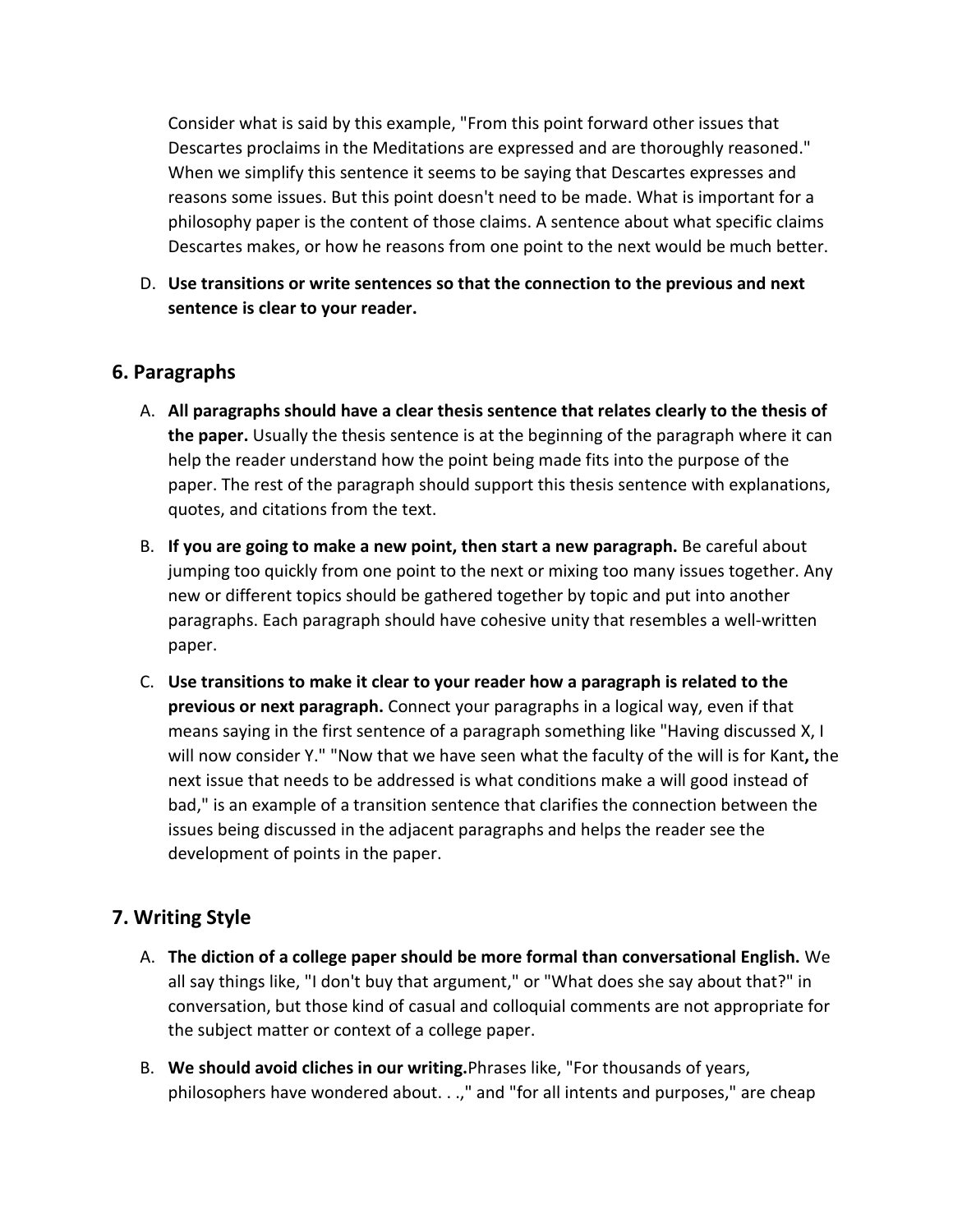Consider what is said by this example, "From this point forward other issues that Descartes proclaims in the Meditations are expressed and are thoroughly reasoned." When we simplify this sentence it seems to be saying that Descartes expresses and reasons some issues. But this point doesn't need to be made. What is important for a philosophy paper is the content of those claims. A sentence about what specific claims Descartes makes, or how he reasons from one point to the next would be much better.

D. **Use transitions or write sentences so that the connection to the previous and next sentence is clear to your reader.**

### **6. Paragraphs**

- A. **All paragraphs should have a clear thesis sentence that relates clearly to the thesis of the paper.** Usually the thesis sentence is at the beginning of the paragraph where it can help the reader understand how the point being made fits into the purpose of the paper. The rest of the paragraph should support this thesis sentence with explanations, quotes, and citations from the text.
- B. **If you are going to make a new point, then start a new paragraph.** Be careful about jumping too quickly from one point to the next or mixing too many issues together. Any new or different topics should be gathered together by topic and put into another paragraphs. Each paragraph should have cohesive unity that resembles a well-written paper.
- C. **Use transitions to make it clear to your reader how a paragraph is related to the previous or next paragraph.** Connect your paragraphs in a logical way, even if that means saying in the first sentence of a paragraph something like "Having discussed X, I will now consider Y." "Now that we have seen what the faculty of the will is for Kant**,** the next issue that needs to be addressed is what conditions make a will good instead of bad," is an example of a transition sentence that clarifies the connection between the issues being discussed in the adjacent paragraphs and helps the reader see the development of points in the paper.

## **7. Writing Style**

- A. **The diction of a college paper should be more formal than conversational English.** We all say things like, "I don't buy that argument," or "What does she say about that?" in conversation, but those kind of casual and colloquial comments are not appropriate for the subject matter or context of a college paper.
- B. **We should avoid cliches in our writing.**Phrases like, "For thousands of years, philosophers have wondered about. . .," and "for all intents and purposes," are cheap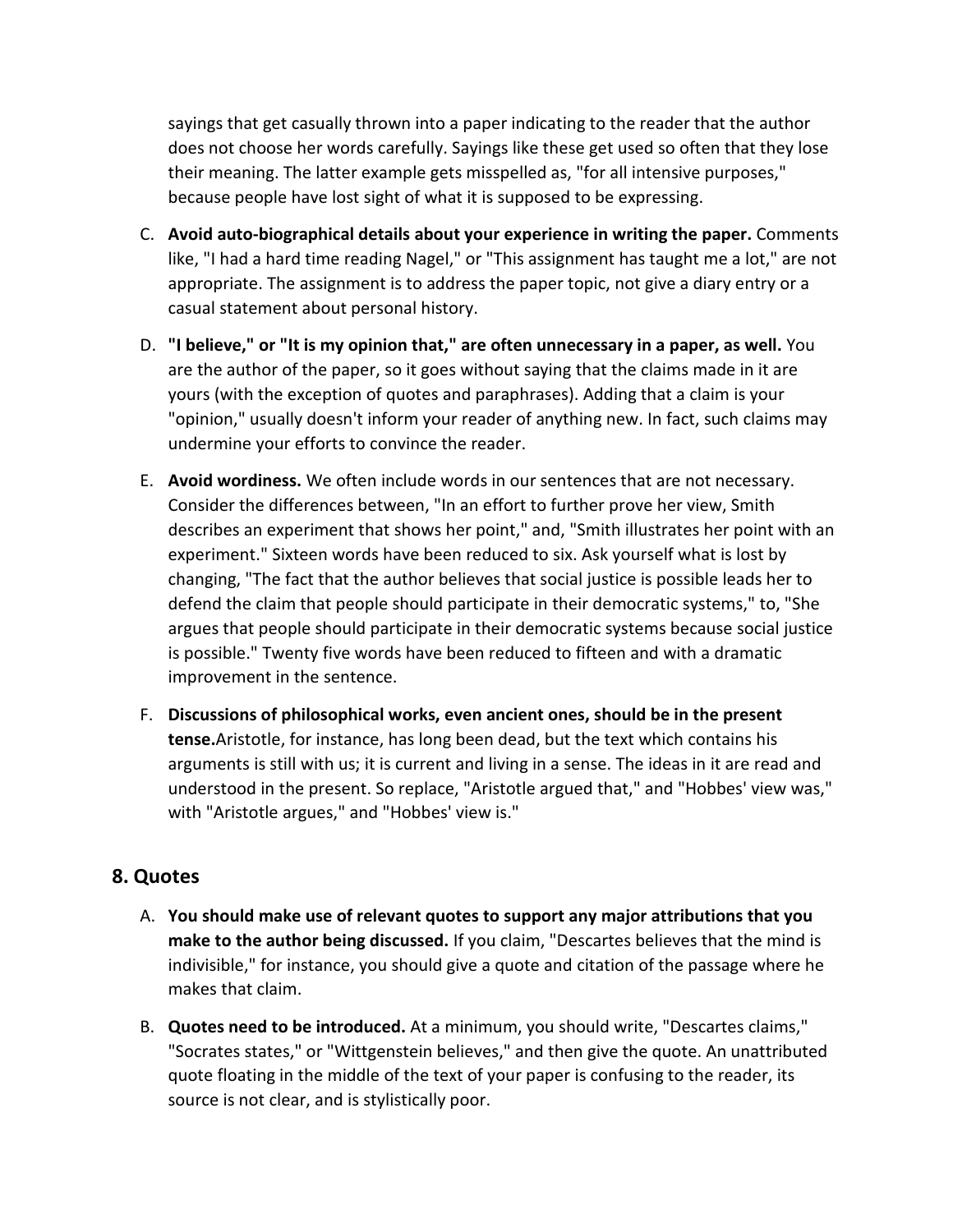sayings that get casually thrown into a paper indicating to the reader that the author does not choose her words carefully. Sayings like these get used so often that they lose their meaning. The latter example gets misspelled as, "for all intensive purposes," because people have lost sight of what it is supposed to be expressing.

- C. **Avoid auto-biographical details about your experience in writing the paper.** Comments like, "I had a hard time reading Nagel," or "This assignment has taught me a lot," are not appropriate. The assignment is to address the paper topic, not give a diary entry or a casual statement about personal history.
- D. **"I believe," or "It is my opinion that," are often unnecessary in a paper, as well.** You are the author of the paper, so it goes without saying that the claims made in it are yours (with the exception of quotes and paraphrases). Adding that a claim is your "opinion," usually doesn't inform your reader of anything new. In fact, such claims may undermine your efforts to convince the reader.
- E. **Avoid wordiness.** We often include words in our sentences that are not necessary. Consider the differences between, "In an effort to further prove her view, Smith describes an experiment that shows her point," and, "Smith illustrates her point with an experiment." Sixteen words have been reduced to six. Ask yourself what is lost by changing, "The fact that the author believes that social justice is possible leads her to defend the claim that people should participate in their democratic systems," to, "She argues that people should participate in their democratic systems because social justice is possible." Twenty five words have been reduced to fifteen and with a dramatic improvement in the sentence.
- F. **Discussions of philosophical works, even ancient ones, should be in the present tense.**Aristotle, for instance, has long been dead, but the text which contains his arguments is still with us; it is current and living in a sense. The ideas in it are read and understood in the present. So replace, "Aristotle argued that," and "Hobbes' view was," with "Aristotle argues," and "Hobbes' view is."

## **8. Quotes**

- A. **You should make use of relevant quotes to support any major attributions that you make to the author being discussed.** If you claim, "Descartes believes that the mind is indivisible," for instance, you should give a quote and citation of the passage where he makes that claim.
- B. **Quotes need to be introduced.** At a minimum, you should write, "Descartes claims," "Socrates states," or "Wittgenstein believes," and then give the quote. An unattributed quote floating in the middle of the text of your paper is confusing to the reader, its source is not clear, and is stylistically poor.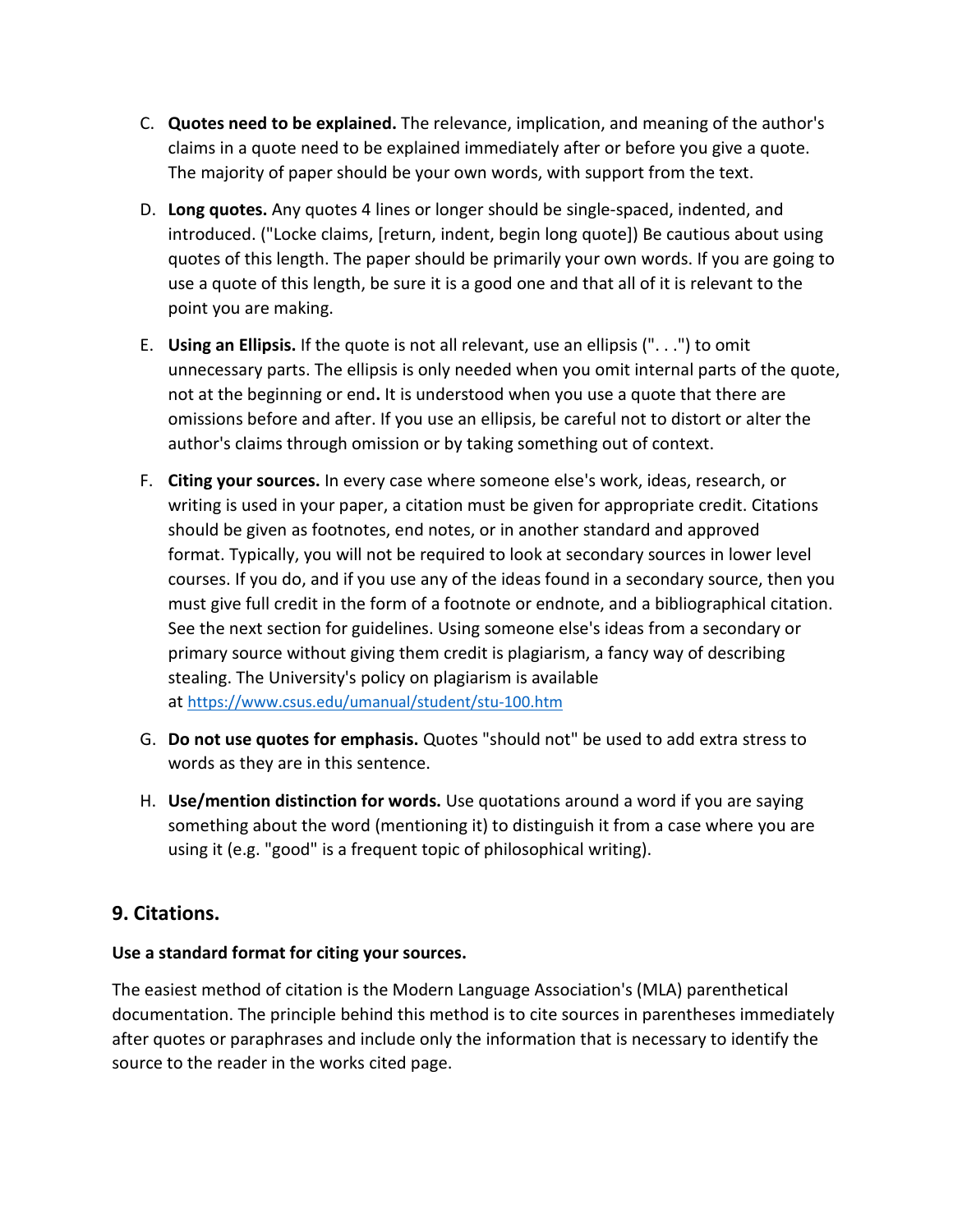- C. **Quotes need to be explained.** The relevance, implication, and meaning of the author's claims in a quote need to be explained immediately after or before you give a quote. The majority of paper should be your own words, with support from the text.
- D. **Long quotes.** Any quotes 4 lines or longer should be single-spaced, indented, and introduced. ("Locke claims, [return, indent, begin long quote]) Be cautious about using quotes of this length. The paper should be primarily your own words. If you are going to use a quote of this length, be sure it is a good one and that all of it is relevant to the point you are making.
- E. **Using an Ellipsis.** If the quote is not all relevant, use an ellipsis (". . .") to omit unnecessary parts. The ellipsis is only needed when you omit internal parts of the quote, not at the beginning or end**.** It is understood when you use a quote that there are omissions before and after. If you use an ellipsis, be careful not to distort or alter the author's claims through omission or by taking something out of context.
- F. **Citing your sources.** In every case where someone else's work, ideas, research, or writing is used in your paper, a citation must be given for appropriate credit. Citations should be given as footnotes, end notes, or in another standard and approved format. Typically, you will not be required to look at secondary sources in lower level courses. If you do, and if you use any of the ideas found in a secondary source, then you must give full credit in the form of a footnote or endnote, and a bibliographical citation. See the next section for guidelines. Using someone else's ideas from a secondary or primary source without giving them credit is plagiarism, a fancy way of describing stealing. The University's policy on plagiarism is available at <https://www.csus.edu/umanual/student/stu-100.htm>
- G. **Do not use quotes for emphasis.** Quotes "should not" be used to add extra stress to words as they are in this sentence.
- H. **Use/mention distinction for words.** Use quotations around a word if you are saying something about the word (mentioning it) to distinguish it from a case where you are using it (e.g. "good" is a frequent topic of philosophical writing).

# **9. Citations.**

## **Use a standard format for citing your sources.**

The easiest method of citation is the Modern Language Association's (MLA) parenthetical documentation. The principle behind this method is to cite sources in parentheses immediately after quotes or paraphrases and include only the information that is necessary to identify the source to the reader in the works cited page.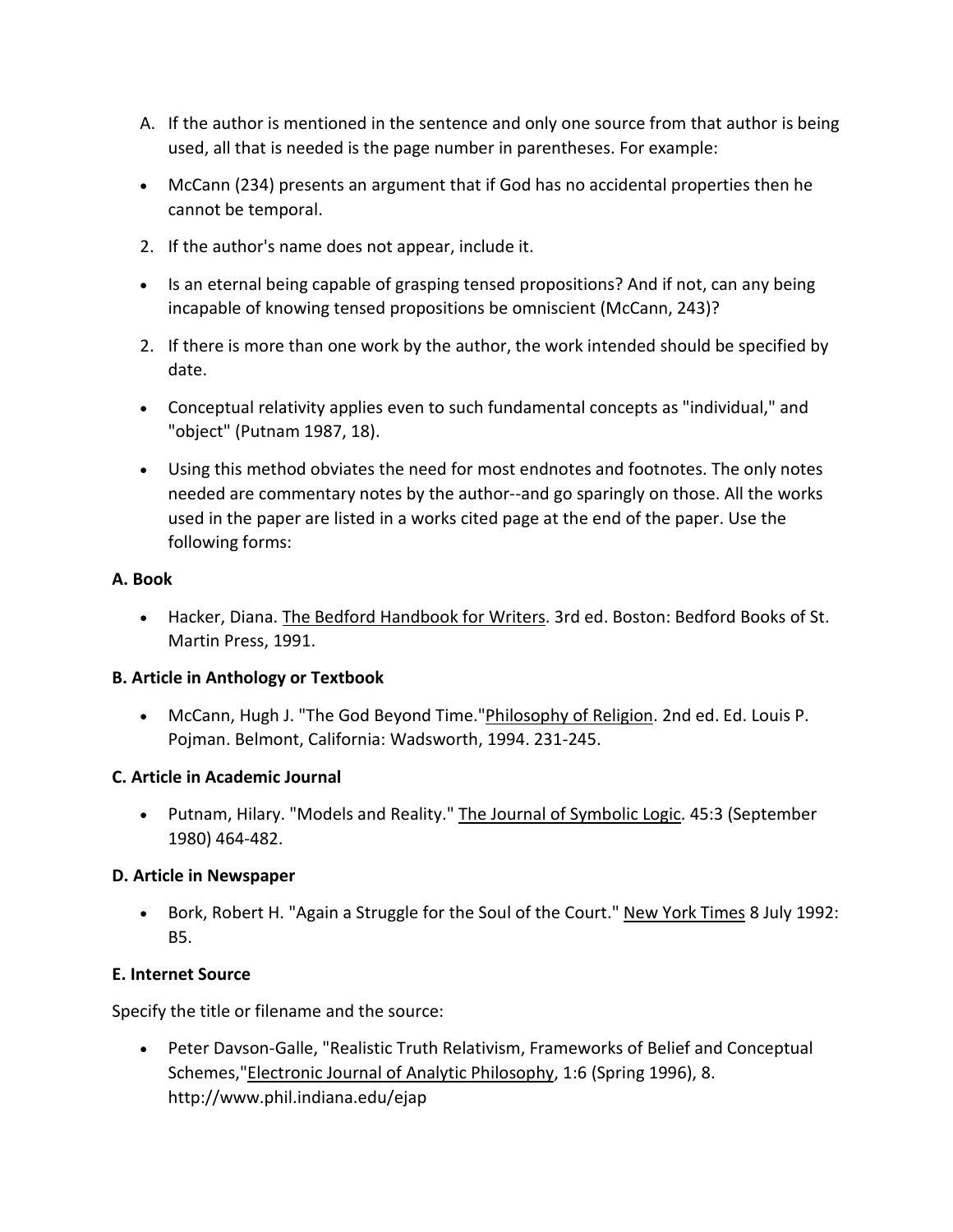- A. If the author is mentioned in the sentence and only one source from that author is being used, all that is needed is the page number in parentheses. For example:
- McCann (234) presents an argument that if God has no accidental properties then he cannot be temporal.
- 2. If the author's name does not appear, include it.
- Is an eternal being capable of grasping tensed propositions? And if not, can any being incapable of knowing tensed propositions be omniscient (McCann, 243)?
- 2. If there is more than one work by the author, the work intended should be specified by date.
- Conceptual relativity applies even to such fundamental concepts as "individual," and "object" (Putnam 1987, 18).
- Using this method obviates the need for most endnotes and footnotes. The only notes needed are commentary notes by the author--and go sparingly on those. All the works used in the paper are listed in a works cited page at the end of the paper. Use the following forms:

#### **A. Book**

• Hacker, Diana. The Bedford Handbook for Writers. 3rd ed. Boston: Bedford Books of St. Martin Press, 1991.

#### **B. Article in Anthology or Textbook**

• McCann, Hugh J. "The God Beyond Time."Philosophy of Religion. 2nd ed. Ed. Louis P. Pojman. Belmont, California: Wadsworth, 1994. 231-245.

#### **C. Article in Academic Journal**

• Putnam, Hilary. "Models and Reality." The Journal of Symbolic Logic. 45:3 (September 1980) 464-482.

#### **D. Article in Newspaper**

• Bork, Robert H. "Again a Struggle for the Soul of the Court." New York Times 8 July 1992: B5.

#### **E. Internet Source**

Specify the title or filename and the source:

• Peter Davson-Galle, "Realistic Truth Relativism, Frameworks of Belief and Conceptual Schemes,"Electronic Journal of Analytic Philosophy, 1:6 (Spring 1996), 8. http://www.phil.indiana.edu/ejap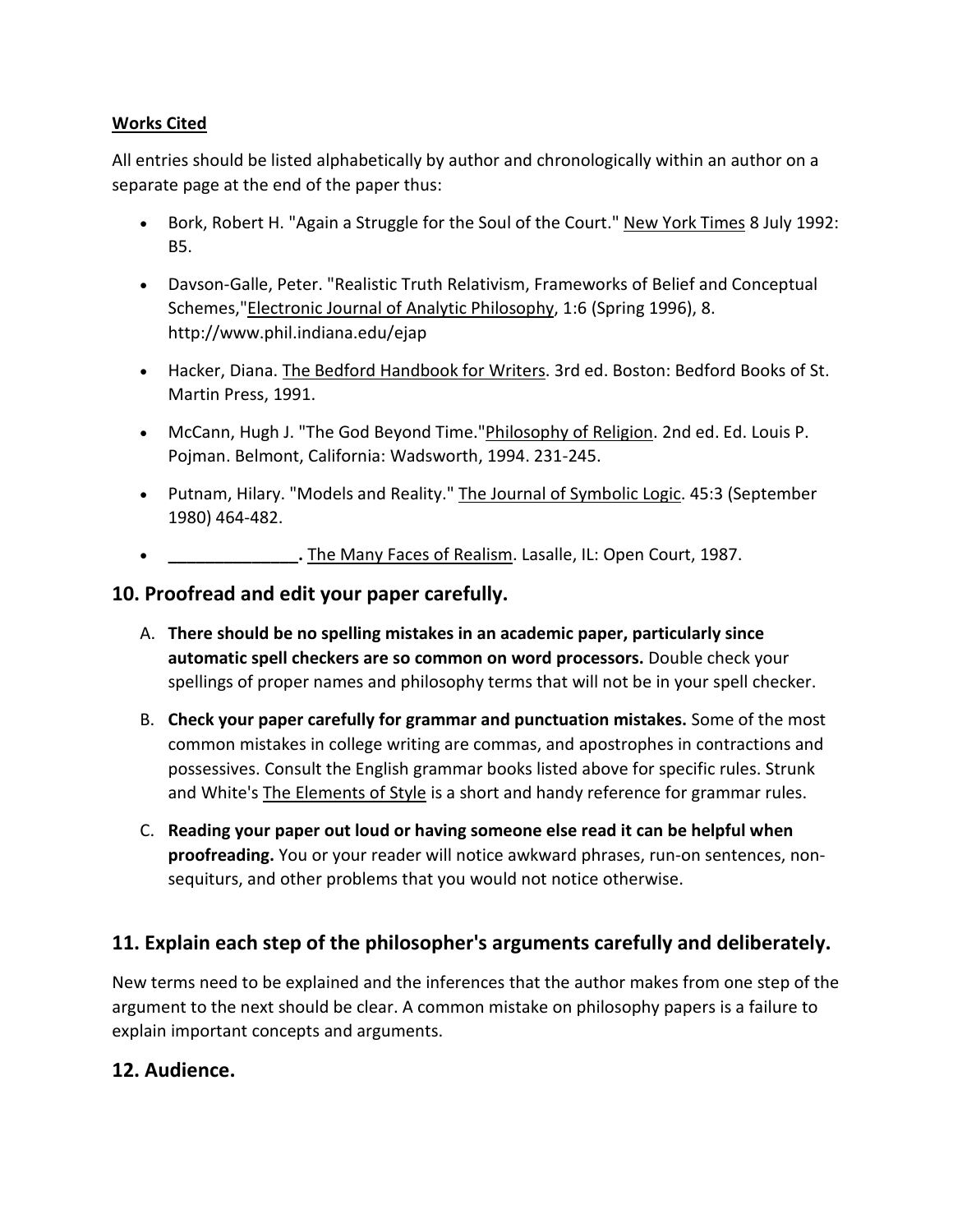### **Works Cited**

All entries should be listed alphabetically by author and chronologically within an author on a separate page at the end of the paper thus:

- Bork, Robert H. "Again a Struggle for the Soul of the Court." New York Times 8 July 1992: B5.
- Davson-Galle, Peter. "Realistic Truth Relativism, Frameworks of Belief and Conceptual Schemes,"Electronic Journal of Analytic Philosophy, 1:6 (Spring 1996), 8. http://www.phil.indiana.edu/ejap
- Hacker, Diana. The Bedford Handbook for Writers. 3rd ed. Boston: Bedford Books of St. Martin Press, 1991.
- McCann, Hugh J. "The God Beyond Time."Philosophy of Religion. 2nd ed. Ed. Louis P. Pojman. Belmont, California: Wadsworth, 1994. 231-245.
- Putnam, Hilary. "Models and Reality." The Journal of Symbolic Logic. 45:3 (September 1980) 464-482.
- **\_\_\_\_\_\_\_\_\_\_\_\_\_\_.** The Many Faces of Realism. Lasalle, IL: Open Court, 1987.

# **10. Proofread and edit your paper carefully.**

- A. **There should be no spelling mistakes in an academic paper, particularly since automatic spell checkers are so common on word processors.** Double check your spellings of proper names and philosophy terms that will not be in your spell checker.
- B. **Check your paper carefully for grammar and punctuation mistakes.** Some of the most common mistakes in college writing are commas, and apostrophes in contractions and possessives. Consult the English grammar books listed above for specific rules. Strunk and White's **The Elements of Style** is a short and handy reference for grammar rules.
- C. **Reading your paper out loud or having someone else read it can be helpful when proofreading.** You or your reader will notice awkward phrases, run-on sentences, nonsequiturs, and other problems that you would not notice otherwise.

# **11. Explain each step of the philosopher's arguments carefully and deliberately.**

New terms need to be explained and the inferences that the author makes from one step of the argument to the next should be clear. A common mistake on philosophy papers is a failure to explain important concepts and arguments.

## **12. Audience.**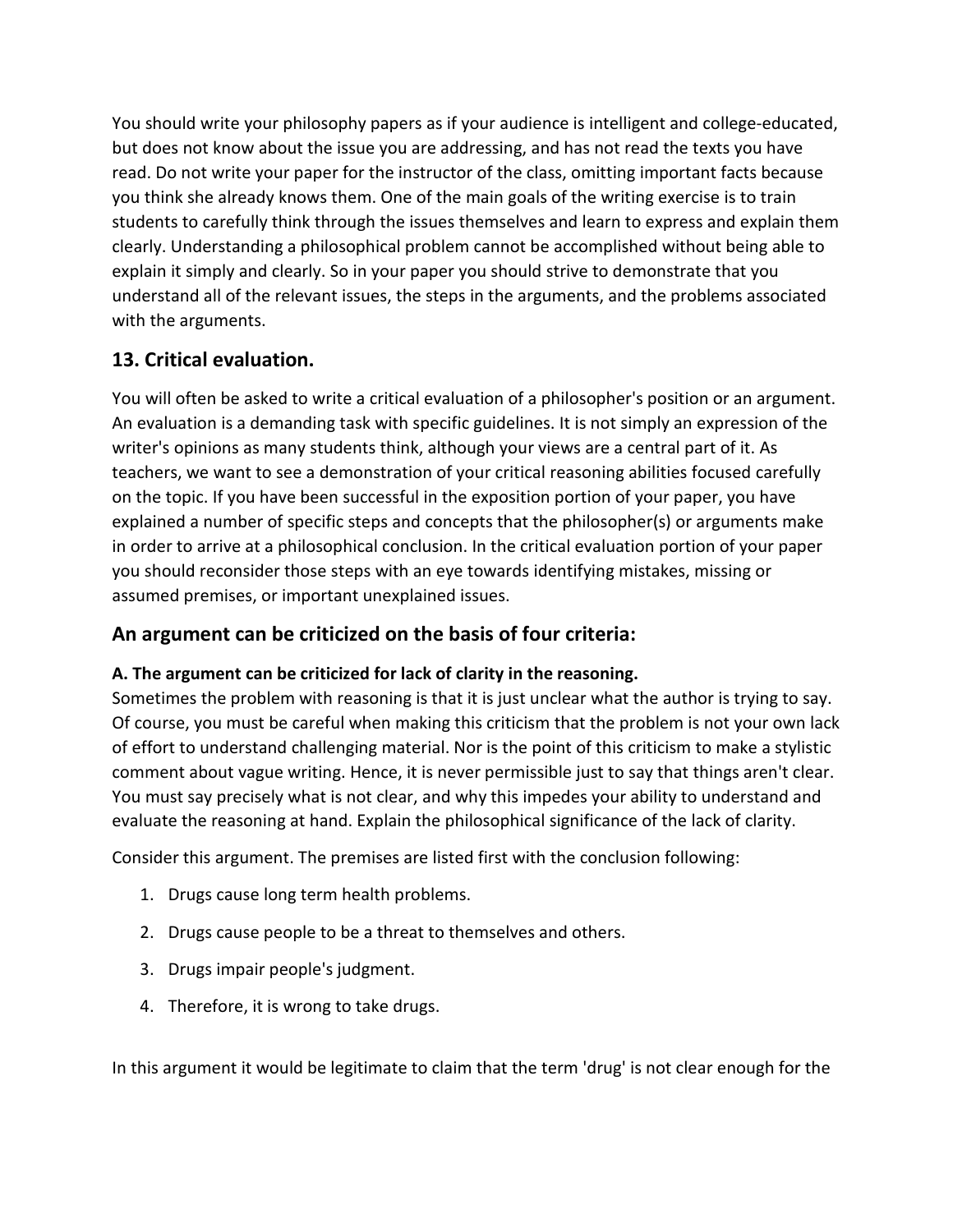You should write your philosophy papers as if your audience is intelligent and college-educated, but does not know about the issue you are addressing, and has not read the texts you have read. Do not write your paper for the instructor of the class, omitting important facts because you think she already knows them. One of the main goals of the writing exercise is to train students to carefully think through the issues themselves and learn to express and explain them clearly. Understanding a philosophical problem cannot be accomplished without being able to explain it simply and clearly. So in your paper you should strive to demonstrate that you understand all of the relevant issues, the steps in the arguments, and the problems associated with the arguments.

# **13. Critical evaluation.**

You will often be asked to write a critical evaluation of a philosopher's position or an argument. An evaluation is a demanding task with specific guidelines. It is not simply an expression of the writer's opinions as many students think, although your views are a central part of it. As teachers, we want to see a demonstration of your critical reasoning abilities focused carefully on the topic. If you have been successful in the exposition portion of your paper, you have explained a number of specific steps and concepts that the philosopher(s) or arguments make in order to arrive at a philosophical conclusion. In the critical evaluation portion of your paper you should reconsider those steps with an eye towards identifying mistakes, missing or assumed premises, or important unexplained issues.

# **An argument can be criticized on the basis of four criteria:**

## **A. The argument can be criticized for lack of clarity in the reasoning.**

Sometimes the problem with reasoning is that it is just unclear what the author is trying to say. Of course, you must be careful when making this criticism that the problem is not your own lack of effort to understand challenging material. Nor is the point of this criticism to make a stylistic comment about vague writing. Hence, it is never permissible just to say that things aren't clear. You must say precisely what is not clear, and why this impedes your ability to understand and evaluate the reasoning at hand. Explain the philosophical significance of the lack of clarity.

Consider this argument. The premises are listed first with the conclusion following:

- 1. Drugs cause long term health problems.
- 2. Drugs cause people to be a threat to themselves and others.
- 3. Drugs impair people's judgment.
- 4. Therefore, it is wrong to take drugs.

In this argument it would be legitimate to claim that the term 'drug' is not clear enough for the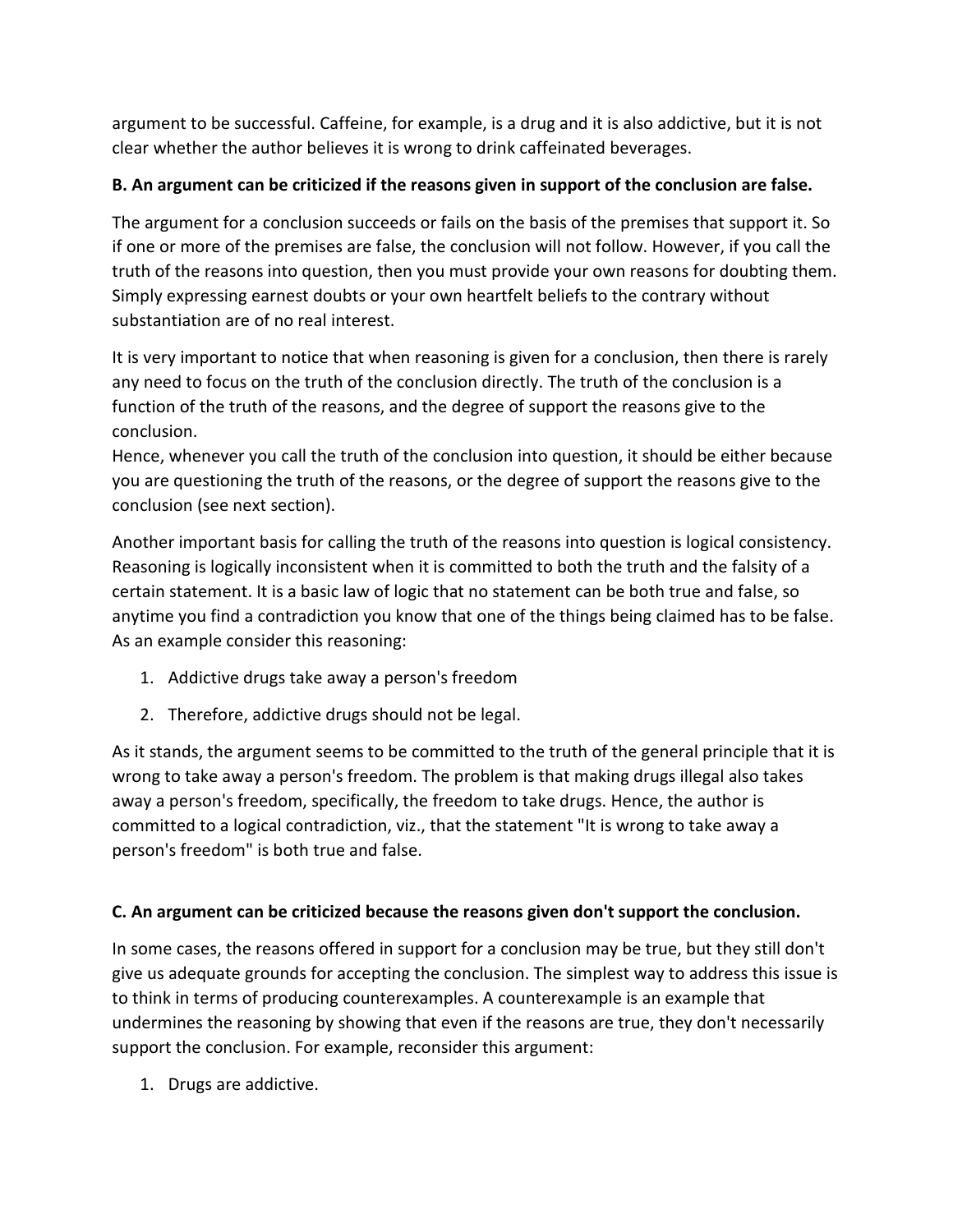argument to be successful. Caffeine, for example, is a drug and it is also addictive, but it is not clear whether the author believes it is wrong to drink caffeinated beverages.

# **B. An argument can be criticized if the reasons given in support of the conclusion are false.**

The argument for a conclusion succeeds or fails on the basis of the premises that support it. So if one or more of the premises are false, the conclusion will not follow. However, if you call the truth of the reasons into question, then you must provide your own reasons for doubting them. Simply expressing earnest doubts or your own heartfelt beliefs to the contrary without substantiation are of no real interest.

It is very important to notice that when reasoning is given for a conclusion, then there is rarely any need to focus on the truth of the conclusion directly. The truth of the conclusion is a function of the truth of the reasons, and the degree of support the reasons give to the conclusion.

Hence, whenever you call the truth of the conclusion into question, it should be either because you are questioning the truth of the reasons, or the degree of support the reasons give to the conclusion (see next section).

Another important basis for calling the truth of the reasons into question is logical consistency. Reasoning is logically inconsistent when it is committed to both the truth and the falsity of a certain statement. It is a basic law of logic that no statement can be both true and false, so anytime you find a contradiction you know that one of the things being claimed has to be false. As an example consider this reasoning:

- 1. Addictive drugs take away a person's freedom
- 2. Therefore, addictive drugs should not be legal.

As it stands, the argument seems to be committed to the truth of the general principle that it is wrong to take away a person's freedom. The problem is that making drugs illegal also takes away a person's freedom, specifically, the freedom to take drugs. Hence, the author is committed to a logical contradiction, viz., that the statement "It is wrong to take away a person's freedom" is both true and false.

## **C. An argument can be criticized because the reasons given don't support the conclusion.**

In some cases, the reasons offered in support for a conclusion may be true, but they still don't give us adequate grounds for accepting the conclusion. The simplest way to address this issue is to think in terms of producing counterexamples. A counterexample is an example that undermines the reasoning by showing that even if the reasons are true, they don't necessarily support the conclusion. For example, reconsider this argument:

1. Drugs are addictive.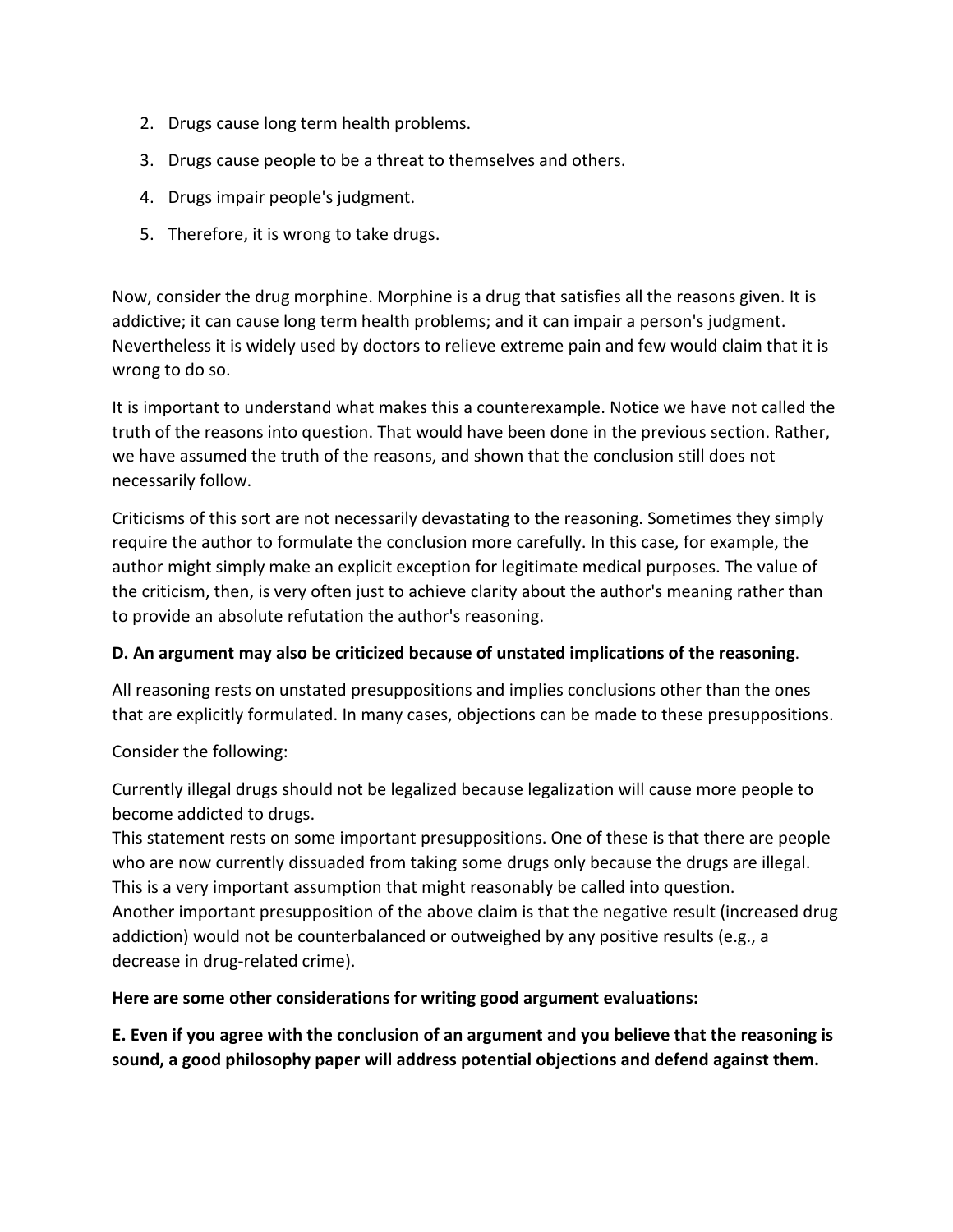- 2. Drugs cause long term health problems.
- 3. Drugs cause people to be a threat to themselves and others.
- 4. Drugs impair people's judgment.
- 5. Therefore, it is wrong to take drugs.

Now, consider the drug morphine. Morphine is a drug that satisfies all the reasons given. It is addictive; it can cause long term health problems; and it can impair a person's judgment. Nevertheless it is widely used by doctors to relieve extreme pain and few would claim that it is wrong to do so.

It is important to understand what makes this a counterexample. Notice we have not called the truth of the reasons into question. That would have been done in the previous section. Rather, we have assumed the truth of the reasons, and shown that the conclusion still does not necessarily follow.

Criticisms of this sort are not necessarily devastating to the reasoning. Sometimes they simply require the author to formulate the conclusion more carefully. In this case, for example, the author might simply make an explicit exception for legitimate medical purposes. The value of the criticism, then, is very often just to achieve clarity about the author's meaning rather than to provide an absolute refutation the author's reasoning.

#### **D. An argument may also be criticized because of unstated implications of the reasoning**.

All reasoning rests on unstated presuppositions and implies conclusions other than the ones that are explicitly formulated. In many cases, objections can be made to these presuppositions.

Consider the following:

Currently illegal drugs should not be legalized because legalization will cause more people to become addicted to drugs.

This statement rests on some important presuppositions. One of these is that there are people who are now currently dissuaded from taking some drugs only because the drugs are illegal. This is a very important assumption that might reasonably be called into question. Another important presupposition of the above claim is that the negative result (increased drug addiction) would not be counterbalanced or outweighed by any positive results (e.g., a decrease in drug-related crime).

#### **Here are some other considerations for writing good argument evaluations:**

**E. Even if you agree with the conclusion of an argument and you believe that the reasoning is sound, a good philosophy paper will address potential objections and defend against them.**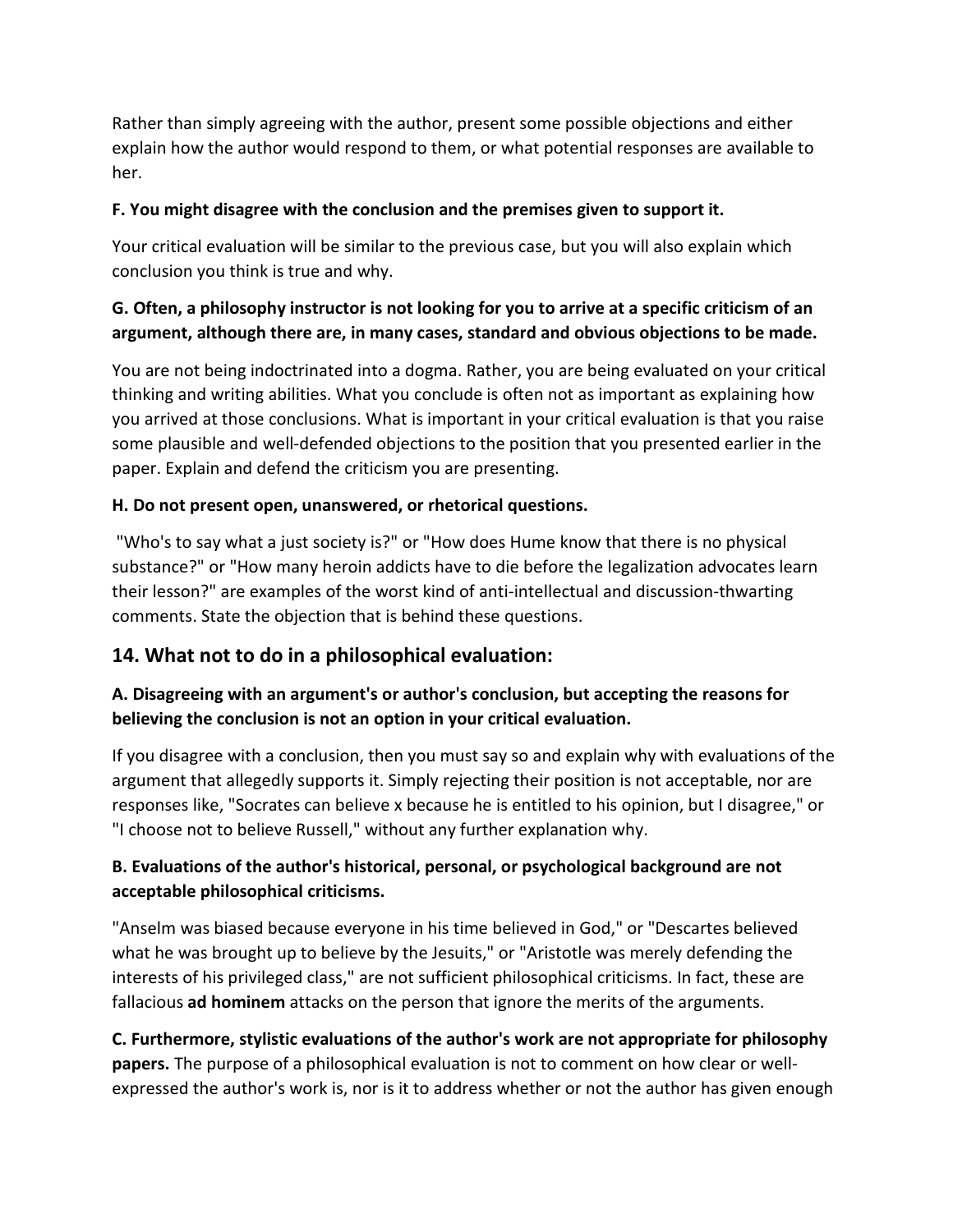Rather than simply agreeing with the author, present some possible objections and either explain how the author would respond to them, or what potential responses are available to her.

#### **F. You might disagree with the conclusion and the premises given to support it.**

Your critical evaluation will be similar to the previous case, but you will also explain which conclusion you think is true and why.

# **G. Often, a philosophy instructor is not looking for you to arrive at a specific criticism of an argument, although there are, in many cases, standard and obvious objections to be made.**

You are not being indoctrinated into a dogma. Rather, you are being evaluated on your critical thinking and writing abilities. What you conclude is often not as important as explaining how you arrived at those conclusions. What is important in your critical evaluation is that you raise some plausible and well-defended objections to the position that you presented earlier in the paper. Explain and defend the criticism you are presenting.

## **H. Do not present open, unanswered, or rhetorical questions.**

"Who's to say what a just society is?" or "How does Hume know that there is no physical substance?" or "How many heroin addicts have to die before the legalization advocates learn their lesson?" are examples of the worst kind of anti-intellectual and discussion-thwarting comments. State the objection that is behind these questions.

# **14. What not to do in a philosophical evaluation:**

## **A. Disagreeing with an argument's or author's conclusion, but accepting the reasons for believing the conclusion is not an option in your critical evaluation.**

If you disagree with a conclusion, then you must say so and explain why with evaluations of the argument that allegedly supports it. Simply rejecting their position is not acceptable, nor are responses like, "Socrates can believe x because he is entitled to his opinion, but I disagree," or "I choose not to believe Russell," without any further explanation why.

## **B. Evaluations of the author's historical, personal, or psychological background are not acceptable philosophical criticisms.**

"Anselm was biased because everyone in his time believed in God," or "Descartes believed what he was brought up to believe by the Jesuits," or "Aristotle was merely defending the interests of his privileged class," are not sufficient philosophical criticisms. In fact, these are fallacious **ad hominem** attacks on the person that ignore the merits of the arguments.

**C. Furthermore, stylistic evaluations of the author's work are not appropriate for philosophy papers.** The purpose of a philosophical evaluation is not to comment on how clear or wellexpressed the author's work is, nor is it to address whether or not the author has given enough